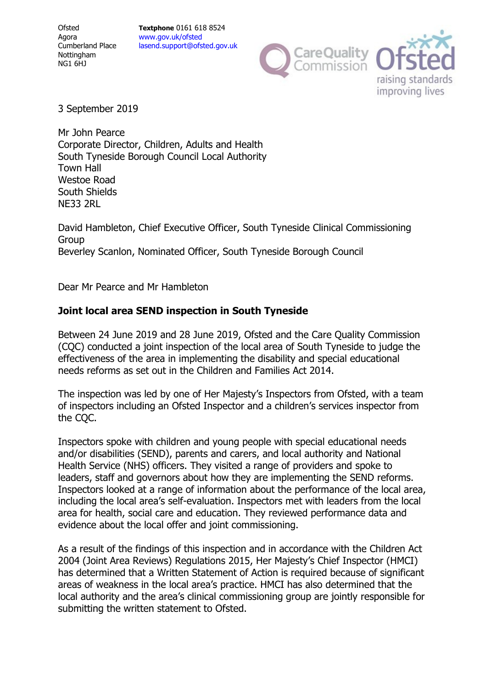**Textphone** 0161 618 8524 www.gov.uk/ofsted lasend.support@ofsted.gov.uk



3 September 2019

Mr John Pearce Corporate Director, Children, Adults and Health South Tyneside Borough Council Local Authority Town Hall Westoe Road South Shields NE33 2RL

David Hambleton, Chief Executive Officer, South Tyneside Clinical Commissioning Group Beverley Scanlon, Nominated Officer, South Tyneside Borough Council

Dear Mr Pearce and Mr Hambleton

# **Joint local area SEND inspection in South Tyneside**

Between 24 June 2019 and 28 June 2019, Ofsted and the Care Quality Commission (CQC) conducted a joint inspection of the local area of South Tyneside to judge the effectiveness of the area in implementing the disability and special educational needs reforms as set out in the Children and Families Act 2014.

The inspection was led by one of Her Majesty's Inspectors from Ofsted, with a team of inspectors including an Ofsted Inspector and a children's services inspector from the CQC.

Inspectors spoke with children and young people with special educational needs and/or disabilities (SEND), parents and carers, and local authority and National Health Service (NHS) officers. They visited a range of providers and spoke to leaders, staff and governors about how they are implementing the SEND reforms. Inspectors looked at a range of information about the performance of the local area, including the local area's self-evaluation. Inspectors met with leaders from the local area for health, social care and education. They reviewed performance data and evidence about the local offer and joint commissioning.

As a result of the findings of this inspection and in accordance with the Children Act 2004 (Joint Area Reviews) Regulations 2015, Her Majesty's Chief Inspector (HMCI) has determined that a Written Statement of Action is required because of significant areas of weakness in the local area's practice. HMCI has also determined that the local authority and the area's clinical commissioning group are jointly responsible for submitting the written statement to Ofsted.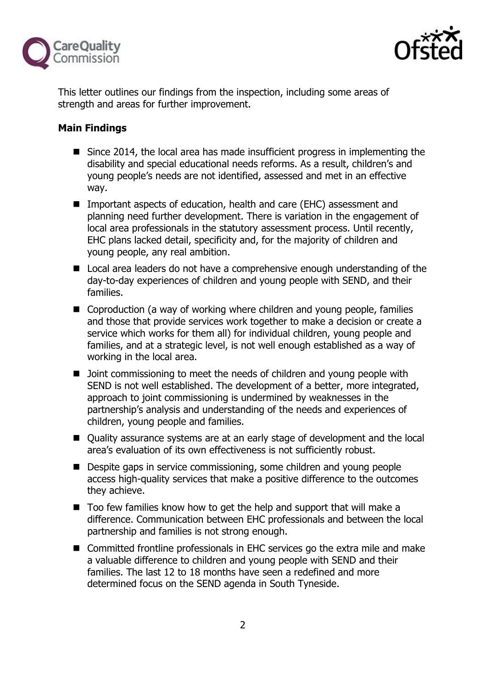



This letter outlines our findings from the inspection, including some areas of strength and areas for further improvement.

# **Main Findings**

- Since 2014, the local area has made insufficient progress in implementing the disability and special educational needs reforms. As a result, children's and young people's needs are not identified, assessed and met in an effective way.
- Important aspects of education, health and care (EHC) assessment and planning need further development. There is variation in the engagement of local area professionals in the statutory assessment process. Until recently, EHC plans lacked detail, specificity and, for the majority of children and young people, any real ambition.
- Local area leaders do not have a comprehensive enough understanding of the day-to-day experiences of children and young people with SEND, and their families.
- Coproduction (a way of working where children and young people, families and those that provide services work together to make a decision or create a service which works for them all) for individual children, young people and families, and at a strategic level, is not well enough established as a way of working in the local area.
- D Joint commissioning to meet the needs of children and young people with SEND is not well established. The development of a better, more integrated, approach to joint commissioning is undermined by weaknesses in the partnership's analysis and understanding of the needs and experiences of children, young people and families.
- Quality assurance systems are at an early stage of development and the local area's evaluation of its own effectiveness is not sufficiently robust.
- **Despite gaps in service commissioning, some children and young people** access high-quality services that make a positive difference to the outcomes they achieve.
- Too few families know how to get the help and support that will make a difference. Communication between EHC professionals and between the local partnership and families is not strong enough.
- Committed frontline professionals in EHC services go the extra mile and make a valuable difference to children and young people with SEND and their families. The last 12 to 18 months have seen a redefined and more determined focus on the SEND agenda in South Tyneside.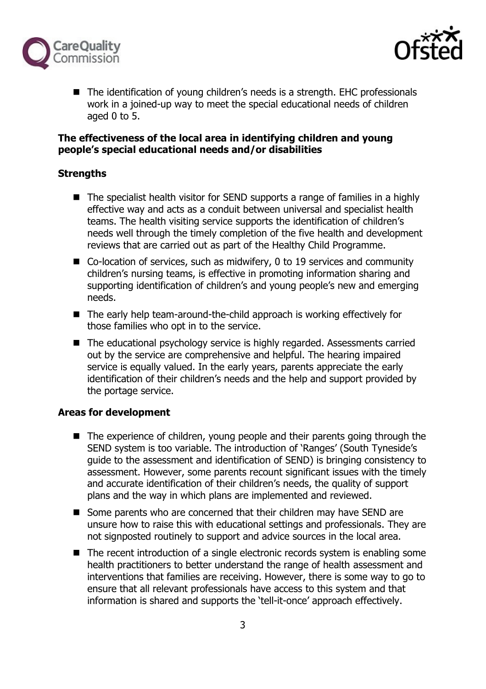



■ The identification of young children's needs is a strength. EHC professionals work in a joined-up way to meet the special educational needs of children aged  $0$  to  $5$ .

#### **The effectiveness of the local area in identifying children and young people's special educational needs and/or disabilities**

## **Strengths**

- The specialist health visitor for SEND supports a range of families in a highly effective way and acts as a conduit between universal and specialist health teams. The health visiting service supports the identification of children's needs well through the timely completion of the five health and development reviews that are carried out as part of the Healthy Child Programme.
- Co-location of services, such as midwifery, 0 to 19 services and community children's nursing teams, is effective in promoting information sharing and supporting identification of children's and young people's new and emerging needs.
- The early help team-around-the-child approach is working effectively for those families who opt in to the service.
- The educational psychology service is highly regarded. Assessments carried out by the service are comprehensive and helpful. The hearing impaired service is equally valued. In the early years, parents appreciate the early identification of their children's needs and the help and support provided by the portage service.

## **Areas for development**

- The experience of children, young people and their parents going through the SEND system is too variable. The introduction of 'Ranges' (South Tyneside's guide to the assessment and identification of SEND) is bringing consistency to assessment. However, some parents recount significant issues with the timely and accurate identification of their children's needs, the quality of support plans and the way in which plans are implemented and reviewed.
- Some parents who are concerned that their children may have SEND are unsure how to raise this with educational settings and professionals. They are not signposted routinely to support and advice sources in the local area.
- The recent introduction of a single electronic records system is enabling some health practitioners to better understand the range of health assessment and interventions that families are receiving. However, there is some way to go to ensure that all relevant professionals have access to this system and that information is shared and supports the 'tell-it-once' approach effectively.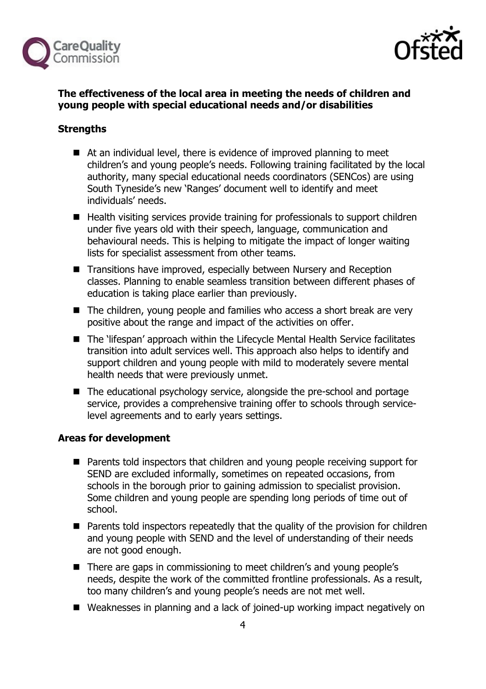



## **The effectiveness of the local area in meeting the needs of children and young people with special educational needs and/or disabilities**

# **Strengths**

- At an individual level, there is evidence of improved planning to meet children's and young people's needs. Following training facilitated by the local authority, many special educational needs coordinators (SENCos) are using South Tyneside's new 'Ranges' document well to identify and meet individuals' needs.
- Health visiting services provide training for professionals to support children under five years old with their speech, language, communication and behavioural needs. This is helping to mitigate the impact of longer waiting lists for specialist assessment from other teams.
- Transitions have improved, especially between Nursery and Reception classes. Planning to enable seamless transition between different phases of education is taking place earlier than previously.
- The children, young people and families who access a short break are very positive about the range and impact of the activities on offer.
- The 'lifespan' approach within the Lifecycle Mental Health Service facilitates transition into adult services well. This approach also helps to identify and support children and young people with mild to moderately severe mental health needs that were previously unmet.
- The educational psychology service, alongside the pre-school and portage service, provides a comprehensive training offer to schools through servicelevel agreements and to early years settings.

## **Areas for development**

- **Parents told inspectors that children and young people receiving support for** SEND are excluded informally, sometimes on repeated occasions, from schools in the borough prior to gaining admission to specialist provision. Some children and young people are spending long periods of time out of school.
- Parents told inspectors repeatedly that the quality of the provision for children and young people with SEND and the level of understanding of their needs are not good enough.
- There are gaps in commissioning to meet children's and young people's needs, despite the work of the committed frontline professionals. As a result, too many children's and young people's needs are not met well.
- Weaknesses in planning and a lack of joined-up working impact negatively on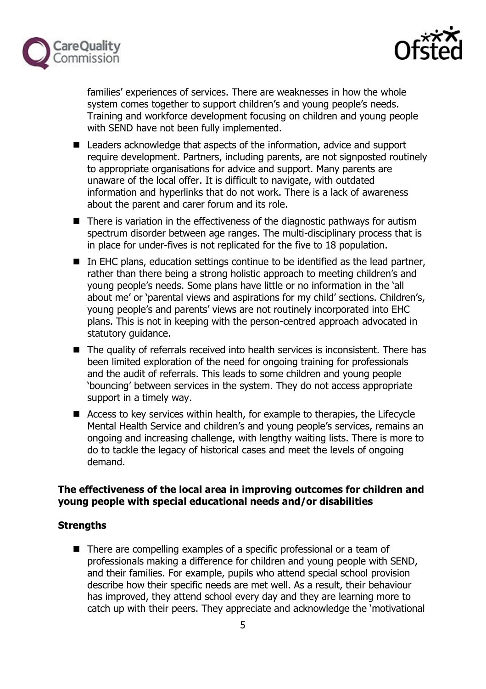



families' experiences of services. There are weaknesses in how the whole system comes together to support children's and young people's needs. Training and workforce development focusing on children and young people with SEND have not been fully implemented.

- Leaders acknowledge that aspects of the information, advice and support require development. Partners, including parents, are not signposted routinely to appropriate organisations for advice and support. Many parents are unaware of the local offer. It is difficult to navigate, with outdated information and hyperlinks that do not work. There is a lack of awareness about the parent and carer forum and its role.
- There is variation in the effectiveness of the diagnostic pathways for autism spectrum disorder between age ranges. The multi-disciplinary process that is in place for under-fives is not replicated for the five to 18 population.
- $\blacksquare$  In EHC plans, education settings continue to be identified as the lead partner, rather than there being a strong holistic approach to meeting children's and young people's needs. Some plans have little or no information in the 'all about me' or 'parental views and aspirations for my child' sections. Children's, young people's and parents' views are not routinely incorporated into EHC plans. This is not in keeping with the person-centred approach advocated in statutory guidance.
- The quality of referrals received into health services is inconsistent. There has been limited exploration of the need for ongoing training for professionals and the audit of referrals. This leads to some children and young people 'bouncing' between services in the system. They do not access appropriate support in a timely way.
- Access to key services within health, for example to therapies, the Lifecycle Mental Health Service and children's and young people's services, remains an ongoing and increasing challenge, with lengthy waiting lists. There is more to do to tackle the legacy of historical cases and meet the levels of ongoing demand.

## **The effectiveness of the local area in improving outcomes for children and young people with special educational needs and/or disabilities**

## **Strengths**

■ There are compelling examples of a specific professional or a team of professionals making a difference for children and young people with SEND, and their families. For example, pupils who attend special school provision describe how their specific needs are met well. As a result, their behaviour has improved, they attend school every day and they are learning more to catch up with their peers. They appreciate and acknowledge the 'motivational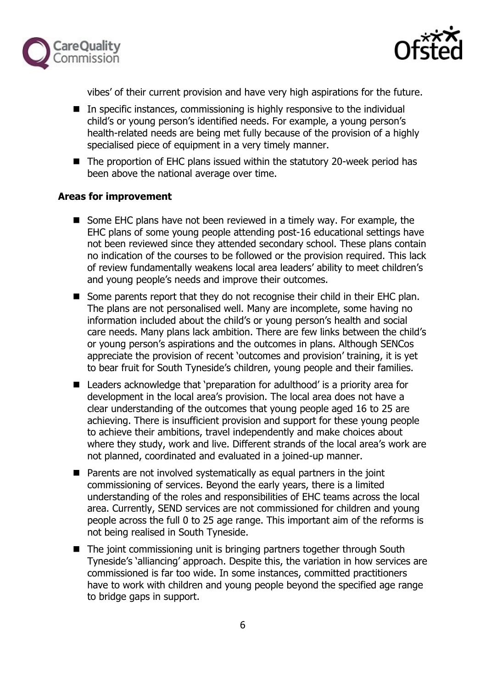



vibes' of their current provision and have very high aspirations for the future.

- In specific instances, commissioning is highly responsive to the individual child's or young person's identified needs. For example, a young person's health-related needs are being met fully because of the provision of a highly specialised piece of equipment in a very timely manner.
- The proportion of EHC plans issued within the statutory 20-week period has been above the national average over time.

#### **Areas for improvement**

- Some EHC plans have not been reviewed in a timely way. For example, the EHC plans of some young people attending post-16 educational settings have not been reviewed since they attended secondary school. These plans contain no indication of the courses to be followed or the provision required. This lack of review fundamentally weakens local area leaders' ability to meet children's and young people's needs and improve their outcomes.
- Some parents report that they do not recognise their child in their EHC plan. The plans are not personalised well. Many are incomplete, some having no information included about the child's or young person's health and social care needs. Many plans lack ambition. There are few links between the child's or young person's aspirations and the outcomes in plans. Although SENCos appreciate the provision of recent 'outcomes and provision' training, it is yet to bear fruit for South Tyneside's children, young people and their families.
- Leaders acknowledge that 'preparation for adulthood' is a priority area for development in the local area's provision. The local area does not have a clear understanding of the outcomes that young people aged 16 to 25 are achieving. There is insufficient provision and support for these young people to achieve their ambitions, travel independently and make choices about where they study, work and live. Different strands of the local area's work are not planned, coordinated and evaluated in a joined-up manner.
- $\blacksquare$  Parents are not involved systematically as equal partners in the joint commissioning of services. Beyond the early years, there is a limited understanding of the roles and responsibilities of EHC teams across the local area. Currently, SEND services are not commissioned for children and young people across the full 0 to 25 age range. This important aim of the reforms is not being realised in South Tyneside.
- The joint commissioning unit is bringing partners together through South Tyneside's 'alliancing' approach. Despite this, the variation in how services are commissioned is far too wide. In some instances, committed practitioners have to work with children and young people beyond the specified age range to bridge gaps in support.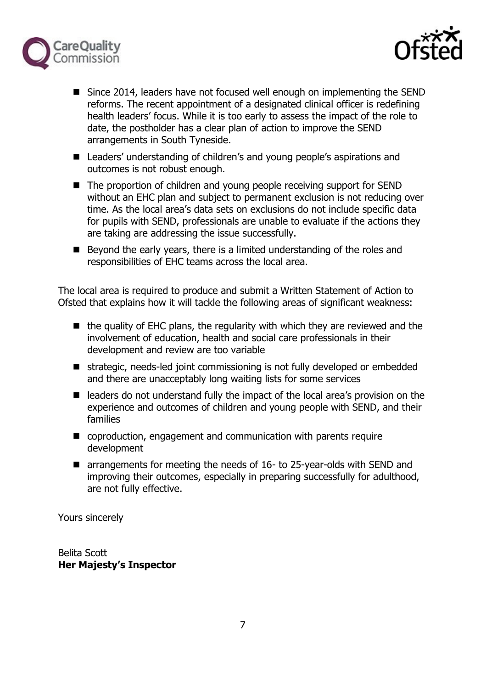



- Since 2014, leaders have not focused well enough on implementing the SEND reforms. The recent appointment of a designated clinical officer is redefining health leaders' focus. While it is too early to assess the impact of the role to date, the postholder has a clear plan of action to improve the SEND arrangements in South Tyneside.
- Leaders' understanding of children's and young people's aspirations and outcomes is not robust enough.
- The proportion of children and young people receiving support for SEND without an EHC plan and subject to permanent exclusion is not reducing over time. As the local area's data sets on exclusions do not include specific data for pupils with SEND, professionals are unable to evaluate if the actions they are taking are addressing the issue successfully.
- Beyond the early years, there is a limited understanding of the roles and responsibilities of EHC teams across the local area.

The local area is required to produce and submit a Written Statement of Action to Ofsted that explains how it will tackle the following areas of significant weakness:

- $\blacksquare$  the quality of EHC plans, the regularity with which they are reviewed and the involvement of education, health and social care professionals in their development and review are too variable
- strategic, needs-led joint commissioning is not fully developed or embedded and there are unacceptably long waiting lists for some services
- leaders do not understand fully the impact of the local area's provision on the experience and outcomes of children and young people with SEND, and their families
- coproduction, engagement and communication with parents require development
- arrangements for meeting the needs of 16- to 25-year-olds with SEND and improving their outcomes, especially in preparing successfully for adulthood, are not fully effective.

Yours sincerely

Belita Scott **Her Majesty's Inspector**